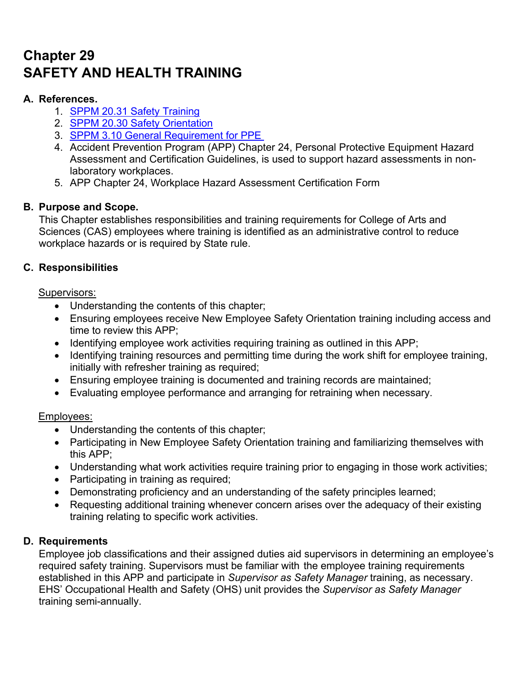# **Chapter 29 SAFETY AND HEALTH TRAINING**

# **A. References.**

- 1. SPPM 20.31 Safety Training
- 2. SPPM 20.30 Safety Orientation
- 3. SPPM 3.10 General Requirement for PPE
- 4. Accident Prevention Program (APP) Chapter 24, Personal Protective Equipment Hazard Assessment and Certification Guidelines, is used to support hazard assessments in nonlaboratory workplaces.
- 5. APP Chapter 24, Workplace Hazard Assessment Certification Form

# **B. Purpose and Scope.**

This Chapter establishes responsibilities and training requirements for College of Arts and Sciences (CAS) employees where training is identified as an administrative control to reduce workplace hazards or is required by State rule.

# **C. Responsibilities**

#### Supervisors:

- Understanding the contents of this chapter;
- Ensuring employees receive New Employee Safety Orientation training including access and time to review this APP;
- $\bullet$  Identifying employee work activities requiring training as outlined in this APP;
- Identifying training resources and permitting time during the work shift for employee training, initially with refresher training as required;
- Ensuring employee training is documented and training records are maintained;
- Evaluating employee performance and arranging for retraining when necessary.

## Employees:

- Understanding the contents of this chapter;
- Participating in New Employee Safety Orientation training and familiarizing themselves with this APP;
- Understanding what work activities require training prior to engaging in those work activities;
- Participating in training as required;
- Demonstrating proficiency and an understanding of the safety principles learned;
- Requesting additional training whenever concern arises over the adequacy of their existing training relating to specific work activities.

## **D. Requirements**

Employee job classifications and their assigned duties aid supervisors in determining an employee's required safety training. Supervisors must be familiar with the employee training requirements established in this APP and participate in *Supervisor as Safety Manager* training, as necessary. EHS' Occupational Health and Safety (OHS) unit provides the *Supervisor as Safety Manager* training semi-annually.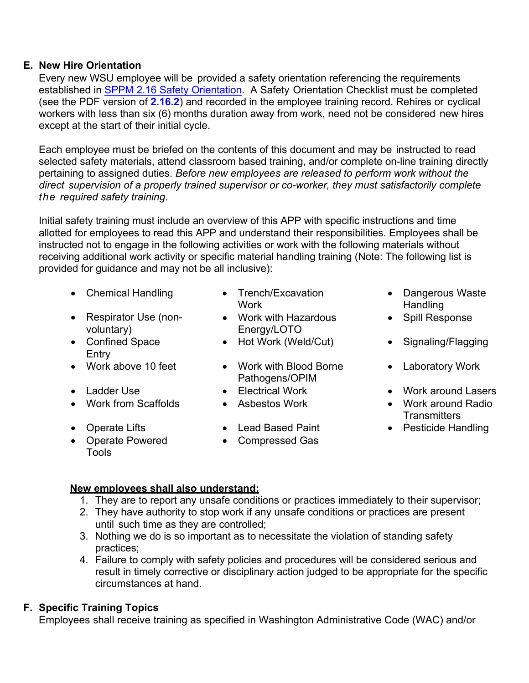#### **E. New Hire Orientation**

Every new WSU employee will be provided a safety orientation referencing the requirements established in SPPM 2.16 Safety Orientation. A Safety Orientation Checklist must be completed (see the PDF version of **2.16.2**) and recorded in the employee training record. Rehires or cyclical workers with less than six (6) months duration away from work, need not be considered new hires except at the start of their initial cycle.

Each employee must be briefed on the contents of this document and may be instructed to read selected safety materials, attend classroom based training, and/or complete on-line training directly pertaining to assigned duties. *Before new employees are released to perform work without the direct supervision of a properly trained supervisor or co-worker, they must satisfactorily complete the required safety training*.

Initial safety training must include an overview of this APP with specific instructions and time allotted for employees to read this APP and understand their responsibilities. Employees shall be instructed not to engage in the following activities or work with the following materials without receiving additional work activity or specific material handling training (Note: The following list is provided for guidance and may not be all inclusive):

- Chemical Handling Trench/Excavation
- Respirator Use (nonvoluntary)
- Confined Space Entry
- 
- 
- 
- 
- Operate Powered Tools
- **Work**
- Work with Hazardous Energy/LOTO
- 
- Work above 10 feet Work with Blood Borne Pathogens/OPIM
	-
	-
	-
	- Compressed Gas
- Dangerous Waste **Handling**
- Spill Response
- Hot Work (Weld/Cut) Signaling/Flagging
	- Laboratory Work
- Ladder Use Electrical Work Work around Lasers
- Work from Scaffolds Asbestos Work Work around Radio **Transmitters**
- Operate Lifts Lead Based Paint Pesticide Handling

#### **New employees shall also understand:**

- 1. They are to report any unsafe conditions or practices immediately to their supervisor;
- 2. They have authority to stop work if any unsafe conditions or practices are present until such time as they are controlled;
- 3. Nothing we do is so important as to necessitate the violation of standing safety practices;
- 4. Failure to comply with safety policies and procedures will be considered serious and result in timely corrective or disciplinary action judged to be appropriate for the specific circumstances at hand.

# **F. Specific Training Topics**

Employees shall receive training as specified in Washington Administrative Code (WAC) and/or